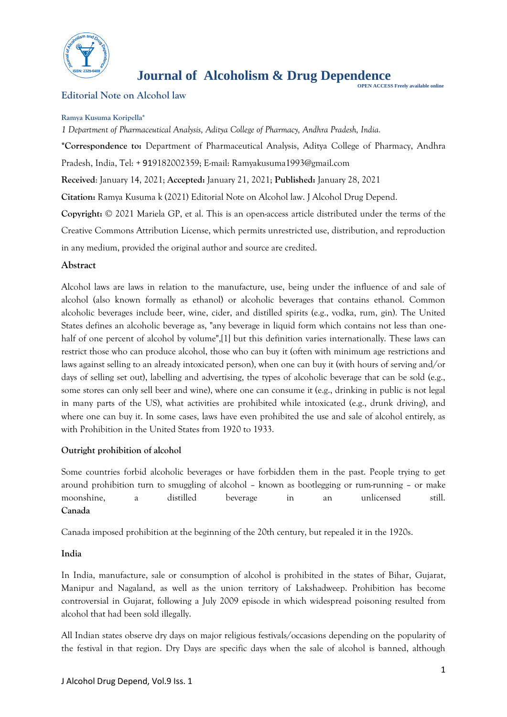

# **Journal of Alcoholism & Drug Dependence PEN ACCESS Freely available online**<br>OPEN ACCESS Freely available online

**Editorial Note on Alcohol law**

#### **Ramya Kusuma Koripella\***

*1 Department of Pharmaceutical Analysis, Aditya College of Pharmacy, Andhra Pradesh, India.* **\*Correspondence to:** Department of Pharmaceutical Analysis, Aditya College of Pharmacy, Andhra Pradesh, India, Tel: + 919182002359; E-mail: Ramyakusuma1993@gmail.com **Received**: January 14, 2021; **Accepted:** January 21, 2021; **Published:** January 28, 2021 **Citation:** Ramya Kusuma k (2021) Editorial Note on Alcohol law. J Alcohol Drug Depend. **Copyright:** © 2021 Mariela GP, et al. This is an open-access article distributed under the terms of the Creative Commons Attribution License, which permits unrestricted use, distribution, and reproduction in any medium, provided the original author and source are credited.

## **Abstract**

Alcohol laws are laws in relation to the manufacture, use, being under the influence of and sale of alcohol (also known formally as ethanol) or alcoholic beverages that contains ethanol. Common alcoholic beverages include beer, wine, cider, and distilled spirits (e.g., vodka, rum, gin). The United States defines an alcoholic beverage as, "any beverage in liquid form which contains not less than onehalf of one percent of alcohol by volume",[1] but this definition varies internationally. These laws can restrict those who can produce alcohol, those who can buy it (often with minimum age restrictions and laws against selling to an already intoxicated person), when one can buy it (with hours of serving and/or days of selling set out), labelling and advertising, the types of alcoholic beverage that can be sold (e.g., some stores can only sell beer and wine), where one can consume it (e.g., drinking in public is not legal in many parts of the US), what activities are prohibited while intoxicated (e.g., drunk driving), and where one can buy it. In some cases, laws have even prohibited the use and sale of alcohol entirely, as with Prohibition in the United States from 1920 to 1933.

## **Outright prohibition of alcohol**

Some countries forbid alcoholic beverages or have forbidden them in the past. People trying to get around prohibition turn to smuggling of alcohol – known as bootlegging or rum-running – or make moonshine, a distilled beverage in an unlicensed still. **Canada**

Canada imposed prohibition at the beginning of the 20th century, but repealed it in the 1920s.

## **India**

In India, manufacture, sale or consumption of alcohol is prohibited in the states of Bihar, Gujarat, Manipur and Nagaland, as well as the union territory of Lakshadweep. Prohibition has become controversial in Gujarat, following a July 2009 episode in which widespread poisoning resulted from alcohol that had been sold illegally.

All Indian states observe dry days on major religious festivals/occasions depending on the popularity of the festival in that region. Dry Days are specific days when the sale of alcohol is banned, although